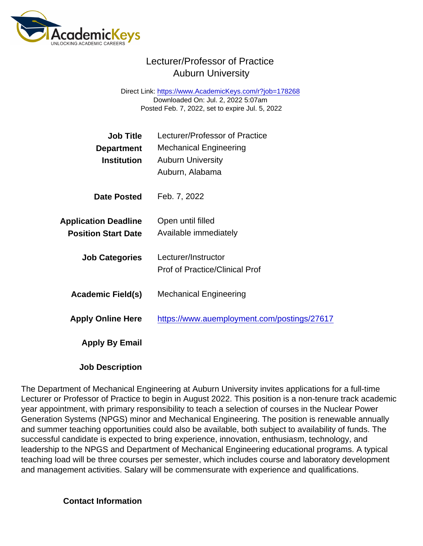## Lecturer/Professor of Practice Auburn University

Direct Link: <https://www.AcademicKeys.com/r?job=178268> Downloaded On: Jul. 2, 2022 5:07am Posted Feb. 7, 2022, set to expire Jul. 5, 2022

| Job Title                   | Lecturer/Professor of Practice              |
|-----------------------------|---------------------------------------------|
| Department                  | <b>Mechanical Engineering</b>               |
| Institution                 | <b>Auburn University</b>                    |
|                             | Auburn, Alabama                             |
| Date Posted                 | Feb. 7, 2022                                |
| <b>Application Deadline</b> | Open until filled                           |
| <b>Position Start Date</b>  | Available immediately                       |
|                             |                                             |
| <b>Job Categories</b>       | Lecturer/Instructor                         |
|                             | <b>Prof of Practice/Clinical Prof</b>       |
| Academic Field(s)           | <b>Mechanical Engineering</b>               |
| <b>Apply Online Here</b>    | https://www.auemployment.com/postings/27617 |
|                             |                                             |
| Apply By Email              |                                             |
|                             |                                             |
| .                           |                                             |

Job Description

The Department of Mechanical Engineering at Auburn University invites applications for a full-time Lecturer or Professor of Practice to begin in August 2022. This position is a non-tenure track academic year appointment, with primary responsibility to teach a selection of courses in the Nuclear Power Generation Systems (NPGS) minor and Mechanical Engineering. The position is renewable annually and summer teaching opportunities could also be available, both subject to availability of funds. The successful candidate is expected to bring experience, innovation, enthusiasm, technology, and leadership to the NPGS and Department of Mechanical Engineering educational programs. A typical teaching load will be three courses per semester, which includes course and laboratory development and management activities. Salary will be commensurate with experience and qualifications.

Contact Information